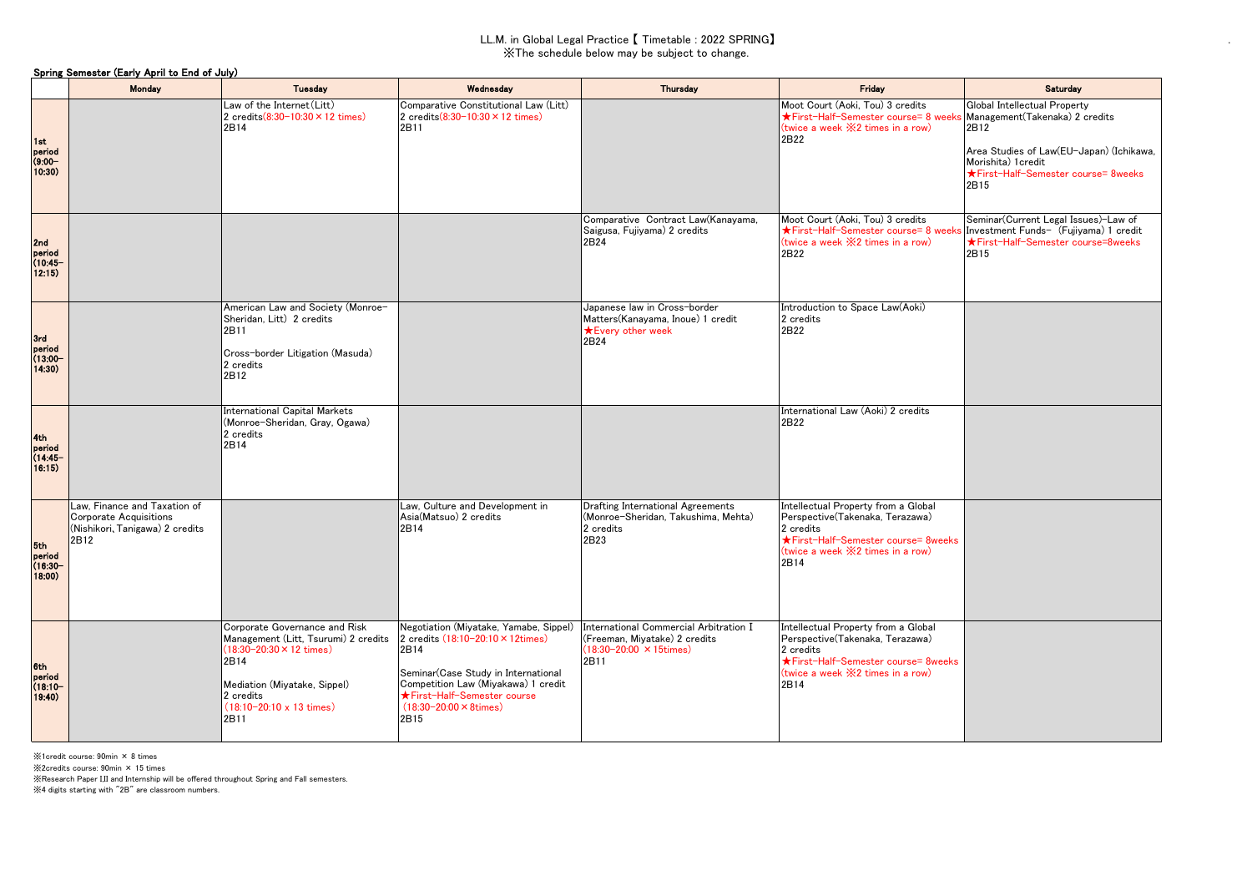## LL.M. in Global Legal Practice 【 Timetable : 2022 SPRING】 ※The schedule below may be subject to change.

.

|                                       | Spring Semester (Early April to End of July)                                                             |                                                                                                                                                                                                                          |                                                                                                                                                                                                                                                  |                                                                                                                    |                                                                                                                                                                                        |                                                                                                                                                                                          |  |  |  |  |  |
|---------------------------------------|----------------------------------------------------------------------------------------------------------|--------------------------------------------------------------------------------------------------------------------------------------------------------------------------------------------------------------------------|--------------------------------------------------------------------------------------------------------------------------------------------------------------------------------------------------------------------------------------------------|--------------------------------------------------------------------------------------------------------------------|----------------------------------------------------------------------------------------------------------------------------------------------------------------------------------------|------------------------------------------------------------------------------------------------------------------------------------------------------------------------------------------|--|--|--|--|--|
|                                       | Monday                                                                                                   | <b>Tuesday</b>                                                                                                                                                                                                           | Wednesday                                                                                                                                                                                                                                        | Thursday                                                                                                           | Friday                                                                                                                                                                                 | Saturday                                                                                                                                                                                 |  |  |  |  |  |
| 1st<br>period<br>$(9:00 -$<br>10:30)  |                                                                                                          | Law of the Internet (Litt)<br>2 credits $(8:30-10:30 \times 12$ times)<br>2B14                                                                                                                                           | Comparative Constitutional Law (Litt)<br>2 credits(8:30-10:30 × 12 times)<br>2B11                                                                                                                                                                |                                                                                                                    | Moot Court (Aoki, Tou) 3 credits<br>★First-Half-Semester course= 8 weeks<br>(twice a week $\divideontimes 2$ times in a row)<br>2B22                                                   | Global Intellectual Property<br>Management(Takenaka) 2 credits<br>2B12<br>Area Studies of Law(EU-Japan) (Ichikawa,<br>Morishita) 1 credit<br>★First-Half-Semester course= 8weeks<br>2B15 |  |  |  |  |  |
| 2nd<br>period<br>(10.45)<br>12:15)    |                                                                                                          |                                                                                                                                                                                                                          |                                                                                                                                                                                                                                                  | Comparative Contract Law(Kanayama,<br>Saigusa, Fujiyama) 2 credits<br>2B24                                         | Moot Court (Aoki, Tou) 3 credits<br>★First-Half-Semester course= 8 weeks<br>(twice a week $\divideontimes 2$ times in a row)<br>2B22                                                   | Seminar(Current Legal Issues)-Law of<br>Investment Funds- (Fujiyama) 1 credit<br>★First-Half-Semester course=8weeks<br>2B15                                                              |  |  |  |  |  |
| 3rd<br>period<br>$(13:00 -$<br>14:30) |                                                                                                          | American Law and Society (Monroe-<br>Sheridan, Litt) 2 credits<br>2B11<br>Cross-border Litigation (Masuda)<br>2 credits<br>2B12                                                                                          |                                                                                                                                                                                                                                                  | Japanese law in Cross-border<br>Matters (Kanayama, Inoue) 1 credit<br><b>★Every other week</b><br>2B24             | Introduction to Space Law(Aoki)<br>2 credits<br>2B22                                                                                                                                   |                                                                                                                                                                                          |  |  |  |  |  |
| 4th<br>poriod<br>$(14:45 -$<br>16:15) |                                                                                                          | <b>International Capital Markets</b><br>(Monroe-Sheridan, Gray, Ogawa)<br>2 credits<br>2B14                                                                                                                              |                                                                                                                                                                                                                                                  |                                                                                                                    | International Law (Aoki) 2 credits<br>2B22                                                                                                                                             |                                                                                                                                                                                          |  |  |  |  |  |
| 5th<br>period<br>$(16:30 -$<br>18:00) | Law, Finance and Taxation of<br><b>Corporate Acquisitions</b><br>(Nishikori, Tanigawa) 2 credits<br>2B12 |                                                                                                                                                                                                                          | Law, Culture and Development in<br>Asia(Matsuo) 2 credits<br>2B14                                                                                                                                                                                | <b>Drafting International Agreements</b><br>(Monroe-Sheridan, Takushima, Mehta)<br>2 credits<br>2B23               | Intellectual Property from a Global<br>Perspective(Takenaka, Terazawa)<br>2 credits<br>★First-Half-Semester course= 8weeks<br>(twice a week $\divideontimes 2$ times in a row)<br>2B14 |                                                                                                                                                                                          |  |  |  |  |  |
| 6th<br>period<br>$(18:10 -$<br>19:40) |                                                                                                          | Corporate Governance and Risk<br>Management (Litt, Tsurumi) 2 credits<br>$(18:30-20:30 \times 12 \text{ times})$<br>2B14<br>Mediation (Miyatake, Sippel)<br>2 credits<br>$(18:10-20:10 \times 13 \text{ times})$<br>2B11 | Negotiation (Miyatake, Yamabe, Sippel)<br>2 credits (18:10-20:10 × 12times)<br>2B14<br>Seminar (Case Study in International<br>Competition Law (Miyakawa) 1 credit<br>★First-Half-Semester course<br>$(18:30 - 20:00 \times 8 \times 1)$<br>2B15 | International Commercial Arbitration I<br>(Freeman, Miyatake) 2 credits<br>$(18:30-20:00 \times 15$ times)<br>2B11 | Intellectual Property from a Global<br>Perspective(Takenaka, Terazawa)<br>2 credits<br>★First-Half-Semester course= 8weeks<br>(twice a week $\divideontimes 2$ times in a row)<br>2B14 |                                                                                                                                                                                          |  |  |  |  |  |

※1credit course: 90min × 8 times

※2credits course: 90min × 15 times

※Research Paper I,II and Internship will be offered throughout Spring and Fall semesters.

※4 digits starting with "2B" are classroom numbers.